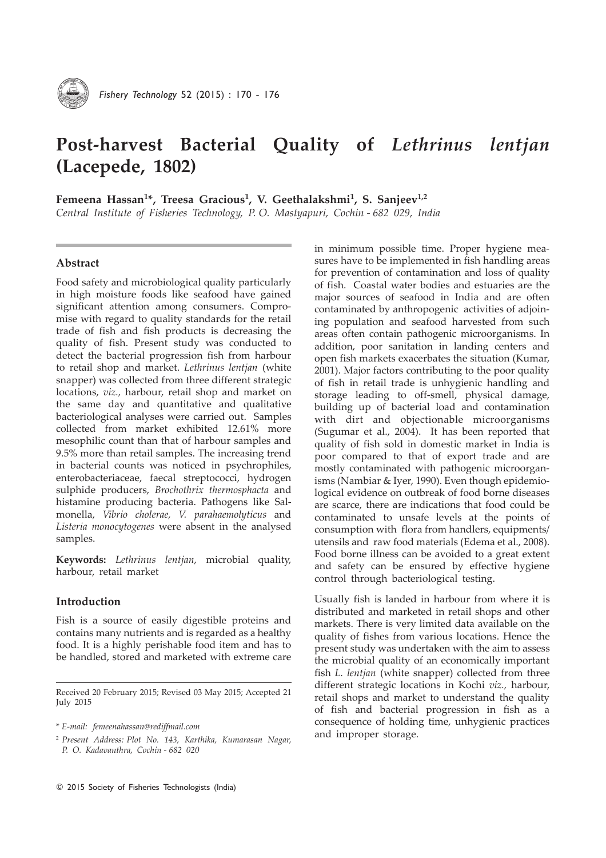

# Post-harvest Bacterial Quality of Lethrinus lentjan (Lacepede, 1802)

Femeena Hassan<sup>1\*</sup>, Treesa Gracious<sup>1</sup>, V. Geethalakshmi<sup>1</sup>, S. Sanjeev<sup>1,2</sup>

Central Institute of Fisheries Technology, P. O. Mastyapuri, Cochin - 682 029, India

## Abstract

Food safety and microbiological quality particularly in high moisture foods like seafood have gained significant attention among consumers. Compromise with regard to quality standards for the retail trade of fish and fish products is decreasing the quality of fish. Present study was conducted to detect the bacterial progression fish from harbour to retail shop and market. Lethrinus lentjan (white snapper) was collected from three different strategic locations, viz., harbour, retail shop and market on the same day and quantitative and qualitative bacteriological analyses were carried out. Samples collected from market exhibited 12.61% more mesophilic count than that of harbour samples and 9.5% more than retail samples. The increasing trend in bacterial counts was noticed in psychrophiles, enterobacteriaceae, faecal streptococci, hydrogen sulphide producers, Brochothrix thermosphacta and histamine producing bacteria. Pathogens like Salmonella, Vibrio cholerae, V. parahaemolyticus and Listeria monocytogenes were absent in the analysed samples.

Keywords: Lethrinus lentjan, microbial quality, harbour, retail market

## Introduction

Fish is a source of easily digestible proteins and contains many nutrients and is regarded as a healthy food. It is a highly perishable food item and has to be handled, stored and marketed with extreme care in minimum possible time. Proper hygiene measures have to be implemented in fish handling areas for prevention of contamination and loss of quality of fish. Coastal water bodies and estuaries are the major sources of seafood in India and are often contaminated by anthropogenic activities of adjoining population and seafood harvested from such areas often contain pathogenic microorganisms. In addition, poor sanitation in landing centers and open fish markets exacerbates the situation (Kumar, 2001). Major factors contributing to the poor quality of fish in retail trade is unhygienic handling and storage leading to off-smell, physical damage, building up of bacterial load and contamination with dirt and objectionable microorganisms (Sugumar et al., 2004). It has been reported that quality of fish sold in domestic market in India is poor compared to that of export trade and are mostly contaminated with pathogenic microorganisms (Nambiar & Iyer, 1990). Even though epidemiological evidence on outbreak of food borne diseases are scarce, there are indications that food could be contaminated to unsafe levels at the points of consumption with flora from handlers, equipments/ utensils and raw food materials (Edema et al., 2008). Food borne illness can be avoided to a great extent and safety can be ensured by effective hygiene control through bacteriological testing.

Usually fish is landed in harbour from where it is distributed and marketed in retail shops and other markets. There is very limited data available on the quality of fishes from various locations. Hence the present study was undertaken with the aim to assess the microbial quality of an economically important fish L. lentjan (white snapper) collected from three different strategic locations in Kochi viz., harbour, retail shops and market to understand the quality of fish and bacterial progression in fish as a consequence of holding time, unhygienic practices and improper storage.

Received 20 February 2015; Revised 03 May 2015; Accepted 21 July 2015

<sup>\*</sup> E-mail: femeenahassan@rediffmail.com

<sup>2</sup> Present Address: Plot No. 143, Karthika, Kumarasan Nagar, P. O. Kadavanthra, Cochin - 682 020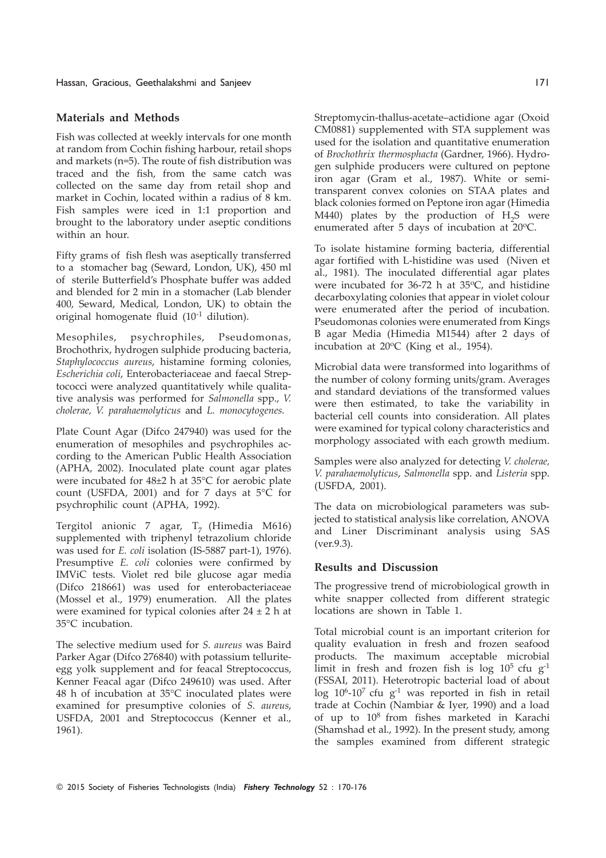## Materials and Methods

Fish was collected at weekly intervals for one month at random from Cochin fishing harbour, retail shops and markets (n=5). The route of fish distribution was traced and the fish, from the same catch was collected on the same day from retail shop and market in Cochin, located within a radius of 8 km. Fish samples were iced in 1:1 proportion and brought to the laboratory under aseptic conditions within an hour.

Fifty grams of fish flesh was aseptically transferred to a stomacher bag (Seward, London, UK), 450 ml of sterile Butterfield's Phosphate buffer was added and blended for 2 min in a stomacher (Lab blender 400, Seward, Medical, London, UK) to obtain the original homogenate fluid (10<sup>-1</sup> dilution).

Mesophiles, psychrophiles, Pseudomonas, Brochothrix, hydrogen sulphide producing bacteria, Staphylococcus aureus, histamine forming colonies, Escherichia coli, Enterobacteriaceae and faecal Streptococci were analyzed quantitatively while qualitative analysis was performed for Salmonella spp., V. cholerae, V. parahaemolyticus and L. monocytogenes.

Plate Count Agar (Difco 247940) was used for the enumeration of mesophiles and psychrophiles according to the American Public Health Association (APHA, 2002). Inoculated plate count agar plates were incubated for 48±2 h at 35°C for aerobic plate count (USFDA, 2001) and for 7 days at 5°C for psychrophilic count (APHA, 1992).

Tergitol anionic 7 agar,  $T_7$  (Himedia M616) supplemented with triphenyl tetrazolium chloride was used for E. coli isolation (IS-5887 part-1), 1976). Presumptive E. coli colonies were confirmed by IMViC tests. Violet red bile glucose agar media (Difco 218661) was used for enterobacteriaceae (Mossel et al., 1979) enumeration. All the plates were examined for typical colonies after  $24 \pm 2$  h at 35°C incubation.

The selective medium used for S. aureus was Baird Parker Agar (Difco 276840) with potassium telluriteegg yolk supplement and for feacal Streptococcus, Kenner Feacal agar (Difco 249610) was used. After 48 h of incubation at 35°C inoculated plates were examined for presumptive colonies of S. aureus, USFDA, 2001 and Streptococcus (Kenner et al., 1961).

Streptomycin-thallus-acetate–actidione agar (Oxoid CM0881) supplemented with STA supplement was used for the isolation and quantitative enumeration of Brochothrix thermosphacta (Gardner, 1966). Hydrogen sulphide producers were cultured on peptone iron agar (Gram et al., 1987). White or semitransparent convex colonies on STAA plates and black colonies formed on Peptone iron agar (Himedia M440) plates by the production of  $H_2S$  were enumerated after 5 days of incubation at  $20^{\circ}$ C.

To isolate histamine forming bacteria, differential agar fortified with L-histidine was used (Niven et al., 1981). The inoculated differential agar plates were incubated for  $36-72$  h at  $35^{\circ}$ C, and histidine decarboxylating colonies that appear in violet colour were enumerated after the period of incubation. Pseudomonas colonies were enumerated from Kings B agar Media (Himedia M1544) after 2 days of incubation at  $20^{\circ}$ C (King et al., 1954).

Microbial data were transformed into logarithms of the number of colony forming units/gram. Averages and standard deviations of the transformed values were then estimated, to take the variability in bacterial cell counts into consideration. All plates were examined for typical colony characteristics and morphology associated with each growth medium.

Samples were also analyzed for detecting V. cholerae, V. parahaemolyticus, Salmonella spp. and Listeria spp. (USFDA, 2001).

The data on microbiological parameters was subjected to statistical analysis like correlation, ANOVA and Liner Discriminant analysis using SAS (ver.9.3).

### Results and Discussion

The progressive trend of microbiological growth in white snapper collected from different strategic locations are shown in Table 1.

Total microbial count is an important criterion for quality evaluation in fresh and frozen seafood products. The maximum acceptable microbial limit in fresh and frozen fish is  $log 10^5$  cfu g<sup>-1</sup> (FSSAI, 2011). Heterotropic bacterial load of about  $\log 10^6$ -10<sup>7</sup> cfu g<sup>-1</sup> was reported in fish in retail trade at Cochin (Nambiar & Iyer, 1990) and a load of up to  $10^8$  from fishes marketed in Karachi (Shamshad et al., 1992). In the present study, among the samples examined from different strategic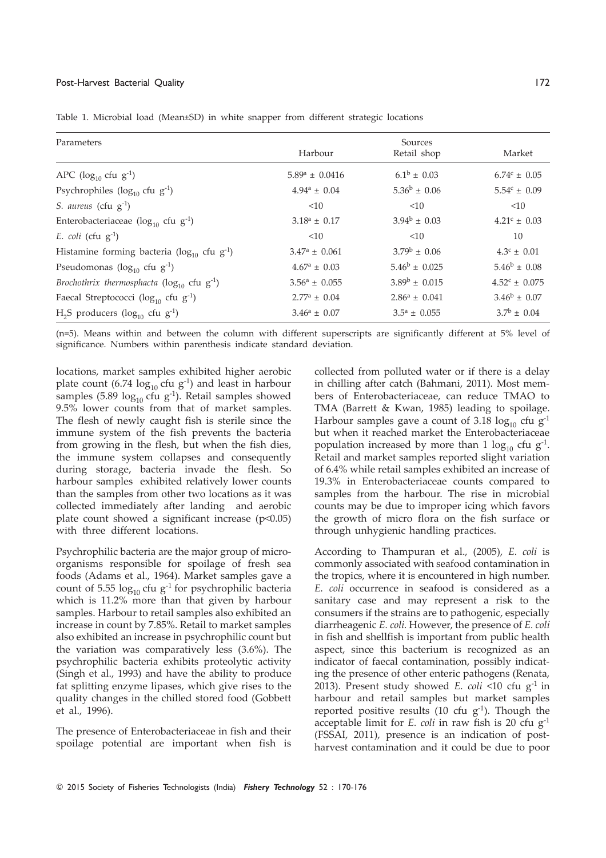#### Post-Harvest Bacterial Quality 172

| Parameters                                                    | Sources                 |                          |                          |
|---------------------------------------------------------------|-------------------------|--------------------------|--------------------------|
|                                                               | Harbour                 | Retail shop              | Market                   |
| APC ( $log_{10}$ cfu $g^{-1}$ )                               | $5.89^a \pm 0.0416$     | $6.1^{\rm b} \pm 0.03$   | $6.74^{\circ} \pm 0.05$  |
| Psychrophiles ( $log_{10}$ cfu $g^{-1}$ )                     | $4.94^a \pm 0.04$       | $5.36^b \pm 0.06$        | $5.54^c \pm 0.09$        |
| S. aureus (cfu $g^{-1}$ )                                     | <10                     | <10                      | <10                      |
| Enterobacteriaceae ( $log_{10}$ cfu $g^{-1}$ )                | $3.18^a \pm 0.17$       | $3.94^b \pm 0.03$        | $4.21^{\circ} \pm 0.03$  |
| E. coli (cfu $g^{-1}$ )                                       | <10                     | <10                      | 10                       |
| Histamine forming bacteria ( $log_{10}$ cfu g <sup>-1</sup> ) | $3.47^a \pm 0.061$      | $3.79^{\rm b} \pm 0.06$  | $4.3^{\circ} \pm 0.01$   |
| Pseudomonas ( $log_{10}$ cfu $g^{-1}$ )                       | $4.67^{\rm a} \pm 0.03$ | $5.46^{\rm b} \pm 0.025$ | $5.46^{\rm b} \pm 0.08$  |
| Brochothrix thermosphacta ( $\log_{10}$ cfu g <sup>-1</sup> ) | $3.56^a \pm 0.055$      | $3.89^{\rm b} \pm 0.015$ | $4.52^{\circ} \pm 0.075$ |
| Faecal Streptococci ( $log_{10}$ cfu $g^{-1}$ )               | $2.77^a \pm 0.04$       | $2.86^a \pm 0.041$       | $3.46^b \pm 0.07$        |
| $H_2S$ producers (log <sub>10</sub> cfu g <sup>-1</sup> )     | $3.46^a \pm 0.07$       | $3.5^a \pm 0.055$        | $3.7^{\rm b} \pm 0.04$   |

Table 1. Microbial load (Mean±SD) in white snapper from different strategic locations

(n=5). Means within and between the column with different superscripts are significantly different at 5% level of significance. Numbers within parenthesis indicate standard deviation.

locations, market samples exhibited higher aerobic plate count (6.74  $\log_{10}$  cfu g<sup>-1</sup>) and least in harbour samples (5.89  $log_{10}$  cfu g<sup>-1</sup>). Retail samples showed 9.5% lower counts from that of market samples. The flesh of newly caught fish is sterile since the immune system of the fish prevents the bacteria from growing in the flesh, but when the fish dies, the immune system collapses and consequently during storage, bacteria invade the flesh. So harbour samples exhibited relatively lower counts than the samples from other two locations as it was collected immediately after landing and aerobic plate count showed a significant increase  $(p<0.05)$ with three different locations.

Psychrophilic bacteria are the major group of microorganisms responsible for spoilage of fresh sea foods (Adams et al., 1964). Market samples gave a count of 5.55  $log_{10}$  cfu g<sup>-1</sup> for psychrophilic bacteria which is 11.2% more than that given by harbour samples. Harbour to retail samples also exhibited an increase in count by 7.85%. Retail to market samples also exhibited an increase in psychrophilic count but the variation was comparatively less (3.6%). The psychrophilic bacteria exhibits proteolytic activity (Singh et al., 1993) and have the ability to produce fat splitting enzyme lipases, which give rises to the quality changes in the chilled stored food (Gobbett et al., 1996).

The presence of Enterobacteriaceae in fish and their spoilage potential are important when fish is

collected from polluted water or if there is a delay in chilling after catch (Bahmani, 2011). Most members of Enterobacteriaceae, can reduce TMAO to TMA (Barrett & Kwan, 1985) leading to spoilage. Harbour samples gave a count of 3.18  $log_{10}$  cfu g<sup>-1</sup> but when it reached market the Enterobacteriaceae population increased by more than  $1 \log_{10}$  cfu  $g^{-1}$ . Retail and market samples reported slight variation of 6.4% while retail samples exhibited an increase of 19.3% in Enterobacteriaceae counts compared to samples from the harbour. The rise in microbial counts may be due to improper icing which favors the growth of micro flora on the fish surface or through unhygienic handling practices.

According to Thampuran et al., (2005), E. coli is commonly associated with seafood contamination in the tropics, where it is encountered in high number. E. coli occurrence in seafood is considered as a sanitary case and may represent a risk to the consumers if the strains are to pathogenic, especially diarrheagenic E. coli. However, the presence of E. coli in fish and shellfish is important from public health aspect, since this bacterium is recognized as an indicator of faecal contamination, possibly indicating the presence of other enteric pathogens (Renata, 2013). Present study showed E. coli <10 cfu  $g^{-1}$  in harbour and retail samples but market samples reported positive results  $(10 \text{ cfu } g^{-1})$ . Though the acceptable limit for E. coli in raw fish is 20 cfu  $g^{-1}$ (FSSAI, 2011), presence is an indication of postharvest contamination and it could be due to poor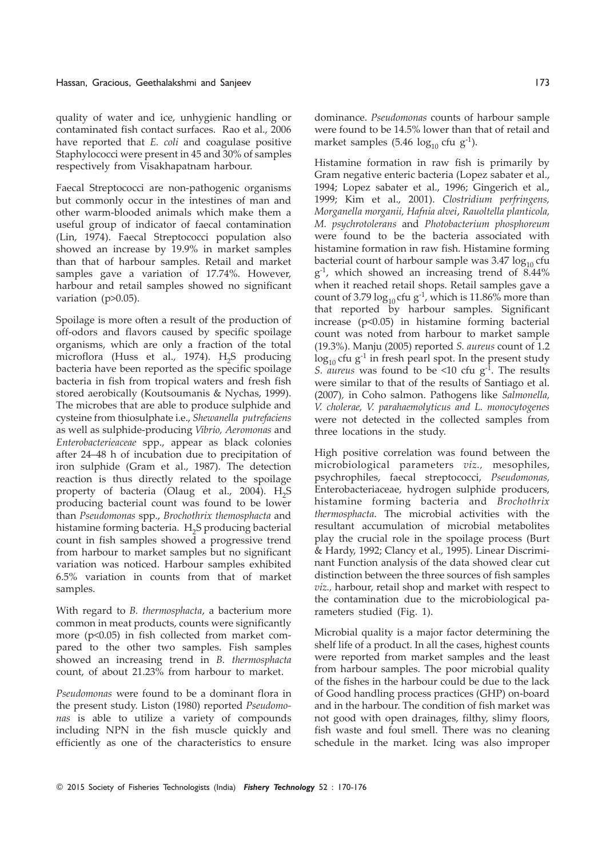quality of water and ice, unhygienic handling or contaminated fish contact surfaces. Rao et al., 2006 have reported that E. coli and coagulase positive Staphylococci were present in 45 and 30% of samples respectively from Visakhapatnam harbour.

Faecal Streptococci are non-pathogenic organisms but commonly occur in the intestines of man and other warm-blooded animals which make them a useful group of indicator of faecal contamination (Lin, 1974). Faecal Streptococci population also showed an increase by 19.9% in market samples than that of harbour samples. Retail and market samples gave a variation of 17.74%. However, harbour and retail samples showed no significant variation (p>0.05).

Spoilage is more often a result of the production of off-odors and flavors caused by specific spoilage organisms, which are only a fraction of the total microflora (Huss et al., 1974). H<sub>2</sub>S producing bacteria have been reported as the specific spoilage bacteria in fish from tropical waters and fresh fish stored aerobically (Koutsoumanis & Nychas, 1999). The microbes that are able to produce sulphide and cysteine from thiosulphate i.e., Shewanella putrefaciens as well as sulphide-producing Vibrio, Aeromonas and Enterobacterieaceae spp., appear as black colonies after 24–48 h of incubation due to precipitation of iron sulphide (Gram et al., 1987). The detection reaction is thus directly related to the spoilage property of bacteria (Olaug et al., 2004).  $H_2S$ producing bacterial count was found to be lower than Pseudomonas spp., Brochothrix themosphacta and histamine forming bacteria.  $\rm H_2 S$  producing bacterial count in fish samples showed a progressive trend from harbour to market samples but no significant variation was noticed. Harbour samples exhibited 6.5% variation in counts from that of market samples.

With regard to B. thermosphacta, a bacterium more common in meat products, counts were significantly more (p<0.05) in fish collected from market compared to the other two samples. Fish samples showed an increasing trend in B. thermosphacta count, of about 21.23% from harbour to market.

Pseudomonas were found to be a dominant flora in the present study. Liston (1980) reported Pseudomonas is able to utilize a variety of compounds including NPN in the fish muscle quickly and efficiently as one of the characteristics to ensure dominance. Pseudomonas counts of harbour sample were found to be 14.5% lower than that of retail and market samples (5.46  $log_{10}$  cfu g<sup>-1</sup>).

Histamine formation in raw fish is primarily by Gram negative enteric bacteria (Lopez sabater et al., 1994; Lopez sabater et al., 1996; Gingerich et al., 1999; Kim et al., 2001). Clostridium perfringens, Morganella morganii, Hafnia alvei, Rauoltella planticola, M. psychrotolerans and Photobacterium phosphoreum were found to be the bacteria associated with histamine formation in raw fish. Histamine forming bacterial count of harbour sample was  $3.47 \log_{10} ctu$ g -1, which showed an increasing trend of 8.44% when it reached retail shops. Retail samples gave a count of 3.79  $log_{10}$  cfu g<sup>-1</sup>, which is 11.86% more than that reported by harbour samples. Significant increase (p<0.05) in histamine forming bacterial count was noted from harbour to market sample (19.3%). Manju (2005) reported S. aureus count of 1.2  $\log_{10}$  cfu g<sup>-1</sup> in fresh pearl spot. In the present study S. aureus was found to be <10 cfu  $g^{-1}$ . The results were similar to that of the results of Santiago et al. (2007), in Coho salmon. Pathogens like Salmonella, V. cholerae, V. parahaemolyticus and L. monocytogenes were not detected in the collected samples from three locations in the study.

High positive correlation was found between the microbiological parameters viz., mesophiles, psychrophiles, faecal streptococci, Pseudomonas, Enterobacteriaceae, hydrogen sulphide producers, histamine forming bacteria and Brochothrix thermosphacta. The microbial activities with the resultant accumulation of microbial metabolites play the crucial role in the spoilage process (Burt & Hardy, 1992; Clancy et al., 1995). Linear Discriminant Function analysis of the data showed clear cut distinction between the three sources of fish samples viz., harbour, retail shop and market with respect to the contamination due to the microbiological parameters studied (Fig. 1).

Microbial quality is a major factor determining the shelf life of a product. In all the cases, highest counts were reported from market samples and the least from harbour samples. The poor microbial quality of the fishes in the harbour could be due to the lack of Good handling process practices (GHP) on-board and in the harbour. The condition of fish market was not good with open drainages, filthy, slimy floors, fish waste and foul smell. There was no cleaning schedule in the market. Icing was also improper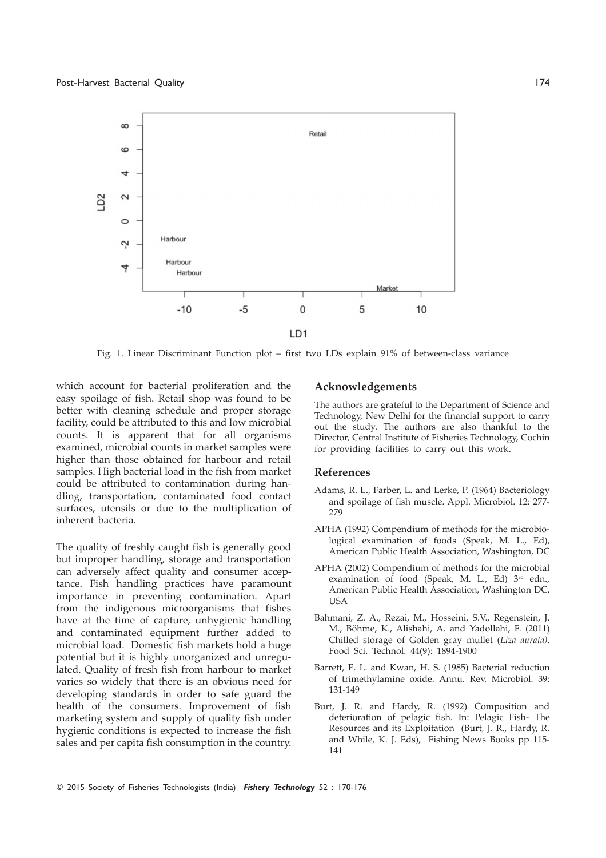

Fig. 1. Linear Discriminant Function plot – first two LDs explain 91% of between-class variance

which account for bacterial proliferation and the easy spoilage of fish. Retail shop was found to be better with cleaning schedule and proper storage facility, could be attributed to this and low microbial counts. It is apparent that for all organisms examined, microbial counts in market samples were higher than those obtained for harbour and retail samples. High bacterial load in the fish from market could be attributed to contamination during handling, transportation, contaminated food contact surfaces, utensils or due to the multiplication of inherent bacteria.

The quality of freshly caught fish is generally good but improper handling, storage and transportation can adversely affect quality and consumer acceptance. Fish handling practices have paramount importance in preventing contamination. Apart from the indigenous microorganisms that fishes have at the time of capture, unhygienic handling and contaminated equipment further added to microbial load. Domestic fish markets hold a huge potential but it is highly unorganized and unregulated. Quality of fresh fish from harbour to market varies so widely that there is an obvious need for developing standards in order to safe guard the health of the consumers. Improvement of fish marketing system and supply of quality fish under hygienic conditions is expected to increase the fish sales and per capita fish consumption in the country.

#### Acknowledgements

The authors are grateful to the Department of Science and Technology, New Delhi for the financial support to carry out the study. The authors are also thankful to the Director, Central Institute of Fisheries Technology, Cochin for providing facilities to carry out this work.

#### References

- Adams, R. L., Farber, L. and Lerke, P. (1964) Bacteriology and spoilage of fish muscle. Appl. Microbiol. 12: 277- 279
- APHA (1992) Compendium of methods for the microbiological examination of foods (Speak, M. L., Ed), American Public Health Association, Washington, DC
- APHA (2002) Compendium of methods for the microbial examination of food (Speak, M. L., Ed) 3rd edn., American Public Health Association, Washington DC, USA
- Bahmani, Z. A., Rezai, M., Hosseini, S.V., Regenstein, J. M., Böhme, K., Alishahi, A. and Yadollahi, F. (2011) Chilled storage of Golden gray mullet (Liza aurata). Food Sci. Technol. 44(9): 1894-1900
- Barrett, E. L. and Kwan, H. S. (1985) Bacterial reduction of trimethylamine oxide. Annu. Rev. Microbiol. 39: 131-149
- Burt, J. R. and Hardy, R. (1992) Composition and deterioration of pelagic fish. In: Pelagic Fish- The Resources and its Exploitation (Burt, J. R., Hardy, R. and While, K. J. Eds), Fishing News Books pp 115- 141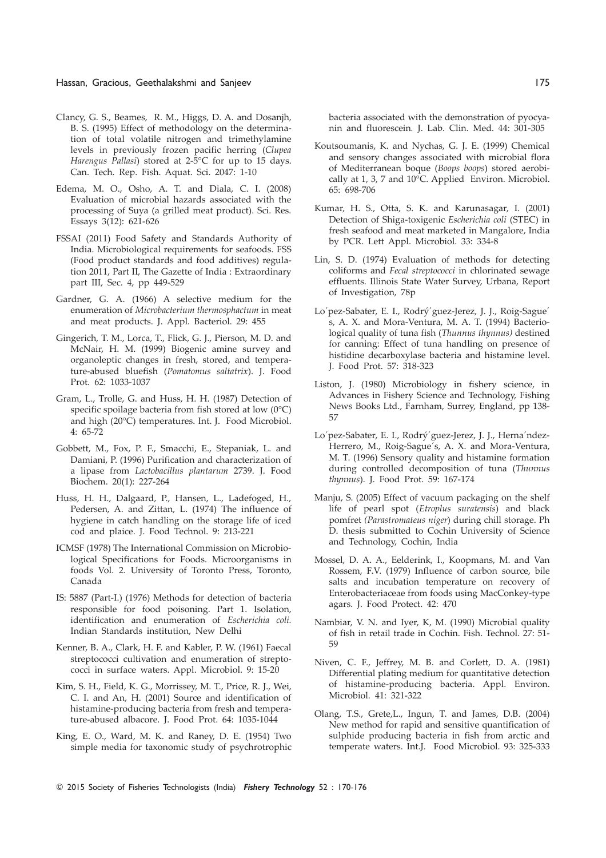#### Hassan, Gracious, Geethalakshmi and Sanjeev 175

- Clancy, G. S., Beames, R. M., Higgs, D. A. and Dosanjh, B. S. (1995) Effect of methodology on the determination of total volatile nitrogen and trimethylamine levels in previously frozen pacific herring (Clupea Harengus Pallasi) stored at 2-5°C for up to 15 days. Can. Tech. Rep. Fish. Aquat. Sci. 2047: 1-10
- Edema, M. O., Osho, A. T. and Diala, C. I. (2008) Evaluation of microbial hazards associated with the processing of Suya (a grilled meat product). Sci. Res. Essays 3(12): 621-626
- FSSAI (2011) Food Safety and Standards Authority of India. Microbiological requirements for seafoods. FSS (Food product standards and food additives) regulation 2011, Part II, The Gazette of India : Extraordinary part III, Sec. 4, pp 449-529
- Gardner, G. A. (1966) A selective medium for the enumeration of Microbacterium thermosphactum in meat and meat products. J. Appl. Bacteriol. 29: 455
- Gingerich, T. M., Lorca, T., Flick, G. J., Pierson, M. D. and McNair, H. M. (1999) Biogenic amine survey and organoleptic changes in fresh, stored, and temperature-abused bluefish (Pomatomus saltatrix). J. Food Prot. 62: 1033-1037
- Gram, L., Trolle, G. and Huss, H. H. (1987) Detection of specific spoilage bacteria from fish stored at low (0°C) and high (20°C) temperatures. Int. J. Food Microbiol. 4: 65-72
- Gobbett, M., Fox, P. F., Smacchi, E., Stepaniak, L. and Damiani, P. (1996) Purification and characterization of a lipase from Lactobacillus plantarum 2739. J. Food Biochem. 20(1): 227-264
- Huss, H. H., Dalgaard, P., Hansen, L., Ladefoged, H., Pedersen, A. and Zittan, L. (1974) The influence of hygiene in catch handling on the storage life of iced cod and plaice. J. Food Technol. 9: 213-221
- ICMSF (1978) The International Commission on Microbiological Specifications for Foods. Microorganisms in foods Vol. 2. University of Toronto Press, Toronto, Canada
- IS: 5887 (Part-I.) (1976) Methods for detection of bacteria responsible for food poisoning. Part 1. Isolation, identification and enumeration of Escherichia coli. Indian Standards institution, New Delhi
- Kenner, B. A., Clark, H. F. and Kabler, P. W. (1961) Faecal streptococci cultivation and enumeration of streptococci in surface waters. Appl. Microbiol. 9: 15-20
- Kim, S. H., Field, K. G., Morrissey, M. T., Price, R. J., Wei, C. I. and An, H. (2001) Source and identification of histamine-producing bacteria from fresh and temperature-abused albacore. J. Food Prot. 64: 1035-1044
- King, E. O., Ward, M. K. and Raney, D. E. (1954) Two simple media for taxonomic study of psychrotrophic

bacteria associated with the demonstration of pyocyanin and fluorescein. J. Lab. Clin. Med. 44: 301-305

- Koutsoumanis, K. and Nychas, G. J. E. (1999) Chemical and sensory changes associated with microbial flora of Mediterranean boque (Boops boops) stored aerobically at 1, 3, 7 and 10°C. Applied Environ. Microbiol. 65: 698-706
- Kumar, H. S., Otta, S. K. and Karunasagar, I. (2001) Detection of Shiga-toxigenic Escherichia coli (STEC) in fresh seafood and meat marketed in Mangalore, India by PCR. Lett Appl. Microbiol. 33: 334-8
- Lin, S. D. (1974) Evaluation of methods for detecting coliforms and Fecal streptococci in chlorinated sewage effluents. Illinois State Water Survey, Urbana, Report of Investigation, 78p
- Lo´pez-Sabater, E. I., Rodrý´guez-Jerez, J. J., Roig-Sague´ s, A. X. and Mora-Ventura, M. A. T. (1994) Bacteriological quality of tuna fish (Thunnus thynnus) destined for canning: Effect of tuna handling on presence of histidine decarboxylase bacteria and histamine level. J. Food Prot. 57: 318-323
- Liston, J. (1980) Microbiology in fishery science, in Advances in Fishery Science and Technology, Fishing News Books Ltd., Farnham, Surrey, England, pp 138- 57
- Lo´pez-Sabater, E. I., Rodrý´guez-Jerez, J. J., Herna´ndez-Herrero, M., Roig-Sague´s, A. X. and Mora-Ventura, M. T. (1996) Sensory quality and histamine formation during controlled decomposition of tuna (Thunnus thynnus). J. Food Prot. 59: 167-174
- Manju, S. (2005) Effect of vacuum packaging on the shelf life of pearl spot (Etroplus suratensis) and black pomfret (Parastromateus niger) during chill storage. Ph D. thesis submitted to Cochin University of Science and Technology, Cochin, India
- Mossel, D. A. A., Eelderink, I., Koopmans, M. and Van Rossem, F.V. (1979) Influence of carbon source, bile salts and incubation temperature on recovery of Enterobacteriaceae from foods using MacConkey-type agars. J. Food Protect. 42: 470
- Nambiar, V. N. and Iyer, K, M. (1990) Microbial quality of fish in retail trade in Cochin. Fish. Technol. 27: 51- 59
- Niven, C. F., Jeffrey, M. B. and Corlett, D. A. (1981) Differential plating medium for quantitative detection of histamine-producing bacteria. Appl. Environ. Microbiol. 41: 321-322
- Olang, T.S., Grete,L., Ingun, T. and James, D.B. (2004) New method for rapid and sensitive quantification of sulphide producing bacteria in fish from arctic and temperate waters. Int.J. Food Microbiol. 93: 325-333

<sup>© 2015</sup> Society of Fisheries Technologists (India) Fishery Technology 52 : 170-176